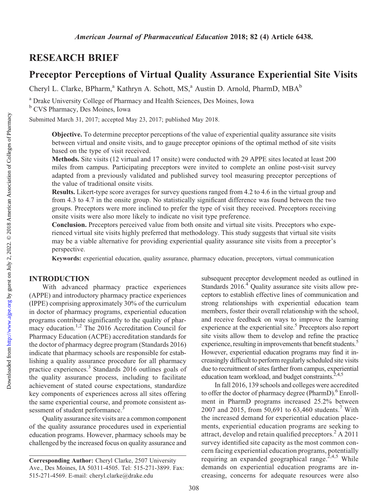## RESEARCH BRIEF

# Preceptor Perceptions of Virtual Quality Assurance Experiential Site Visits

Cheryl L. Clarke, BPharm,<sup>a</sup> Kathryn A. Schott, MS,<sup>a</sup> Austin D. Arnold, PharmD, MBA<sup>b</sup>

<sup>a</sup> Drake University College of Pharmacy and Health Sciences, Des Moines, Iowa <sup>b</sup> CVS Pharmacy, Des Moines, Iowa

Submitted March 31, 2017; accepted May 23, 2017; published May 2018.

Objective. To determine preceptor perceptions of the value of experiential quality assurance site visits between virtual and onsite visits, and to gauge preceptor opinions of the optimal method of site visits based on the type of visit received.

Methods. Site visits (12 virtual and 17 onsite) were conducted with 29 APPE sites located at least 200 miles from campus. Participating preceptors were invited to complete an online post-visit survey adapted from a previously validated and published survey tool measuring preceptor perceptions of the value of traditional onsite visits.

Results. Likert-type score averages for survey questions ranged from 4.2 to 4.6 in the virtual group and from 4.3 to 4.7 in the onsite group. No statistically significant difference was found between the two groups. Preceptors were more inclined to prefer the type of visit they received. Preceptors receiving onsite visits were also more likely to indicate no visit type preference.

Conclusion. Preceptors perceived value from both onsite and virtual site visits. Preceptors who experienced virtual site visits highly preferred that methodology. This study suggests that virtual site visits may be a viable alternative for providing experiential quality assurance site visits from a preceptor's perspective.

Keywords: experiential education, quality assurance, pharmacy education, preceptors, virtual communication

## INTRODUCTION

With advanced pharmacy practice experiences (APPE) and introductory pharmacy practice experiences (IPPE) comprising approximately 30% of the curriculum in doctor of pharmacy programs, experiential education programs contribute significantly to the quality of pharmacy education.<sup>1,2</sup> The 2016 Accreditation Council for Pharmacy Education (ACPE) accreditation standards for the doctor of pharmacy degree program (Standards 2016) indicate that pharmacy schools are responsible for establishing a quality assurance procedure for all pharmacy practice experiences.3 Standards 2016 outlines goals of the quality assurance process, including to facilitate achievement of stated course expectations, standardize key components of experiences across all sites offering the same experiential course, and promote consistent assessment of student performance.<sup>3</sup>

Quality assurance site visits are a common component of the quality assurance procedures used in experiential education programs. However, pharmacy schools may be challenged by the increased focus on quality assurance and subsequent preceptor development needed as outlined in Standards  $2016.<sup>4</sup>$  Quality assurance site visits allow preceptors to establish effective lines of communication and strong relationships with experiential education team members, foster their overall relationship with the school, and receive feedback on ways to improve the learning experience at the experiential site.<sup>5</sup> Preceptors also report site visits allow them to develop and refine the practice experience, resulting in improvements that benefit students.<sup>5</sup> However, experiential education programs may find it increasingly difficult to perform regularly scheduled site visits due to recruitment of sites farther from campus, experiential education team workload, and budget constraints. $2,4,5$ 

In fall 2016, 139 schools and colleges were accredited to offer the doctor of pharmacy degree (PharmD).<sup>6</sup> Enrollment in PharmD programs increased 25.2% between 2007 and 2015, from 50,691 to 63,460 students.<sup>7</sup> With the increased demand for experiential education placements, experiential education programs are seeking to attract, develop and retain qualified preceptors. ${}^{2}$  A 2011 survey identified site capacity as the most common concern facing experiential education programs, potentially requiring an expanded geographical range.<sup>2,4,5</sup> While demands on experiential education programs are increasing, concerns for adequate resources were also

Corresponding Author: Cheryl Clarke, 2507 University Ave., Des Moines, IA 50311-4505. Tel: 515-271-3899. Fax: 515-271-4569. E-mail: [cheryl.clarke@drake.edu](mailto:cheryl.clarke@drake.edu)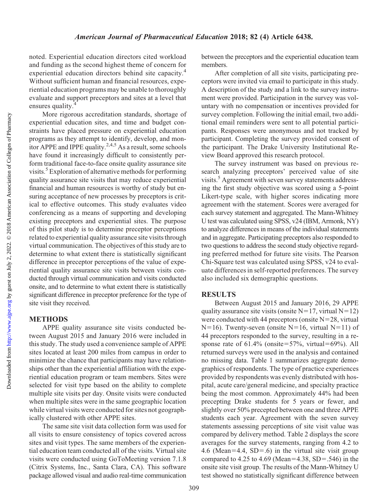Downloaded from

noted. Experiential education directors cited workload and funding as the second highest theme of concern for experiential education directors behind site capacity.<sup>4</sup> Without sufficient human and financial resources, experiential education programs may be unable to thoroughly evaluate and support preceptors and sites at a level that ensures quality.<sup>4</sup>

More rigorous accreditation standards, shortage of experiential education sites, and time and budget constraints have placed pressure on experiential education programs as they attempt to identify, develop, and monitor APPE and IPPE quality.<sup>2,4,5</sup> As a result, some schools have found it increasingly difficult to consistently perform traditional face-to-face onsite quality assurance site visits.<sup>5</sup> Exploration of alternative methods for performing quality assurance site visits that may reduce experiential financial and human resources is worthy of study but ensuring acceptance of new processes by preceptors is critical to effective outcomes. This study evaluates video conferencing as a means of supporting and developing existing preceptors and experiential sites. The purpose of this pilot study is to determine preceptor perceptions related to experiential quality assurance site visits through virtual communication. The objectives of this study are to determine to what extent there is statistically significant difference in preceptor perceptions of the value of experiential quality assurance site visits between visits conducted through virtual communication and visits conducted onsite, and to determine to what extent there is statistically significant difference in preceptor preference for the type of site visit they received.

## METHODS

APPE quality assurance site visits conducted between August 2015 and January 2016 were included in this study. The study used a convenience sample of APPE sites located at least 200 miles from campus in order to minimize the chance that participants may have relationships other than the experiential affiliation with the experiential education program or team members. Sites were selected for visit type based on the ability to complete multiple site visits per day. Onsite visits were conducted when multiple sites were in the same geographic location while virtual visits were conducted for sites not geographically clustered with other APPE sites.

The same site visit data collection form was used for all visits to ensure consistency of topics covered across sites and visit types. The same members of the experiential education team conducted all of the visits. Virtual site visits were conducted using GoToMeeting version 7.1.8 (Citrix Systems, Inc., Santa Clara, CA). This software package allowed visual and audio real-time communication

between the preceptors and the experiential education team members.

After completion of all site visits, participating preceptors were invited via email to participate in this study. A description of the study and a link to the survey instrument were provided. Participation in the survey was voluntary with no compensation or incentives provided for survey completion. Following the initial email, two additional email reminders were sent to all potential participants. Responses were anonymous and not tracked by participant. Completing the survey provided consent of the participant. The Drake University Institutional Review Board approved this research protocol.

The survey instrument was based on previous research analyzing preceptors' perceived value of site visits.<sup>5</sup> Agreement with seven survey statements addressing the first study objective was scored using a 5-point Likert-type scale, with higher scores indicating more agreement with the statement. Scores were averaged for each survey statement and aggregated. The Mann-Whitney U test was calculated using SPSS, v24 (IBM, Armonk, NY) to analyze differences in means of the individual statements and in aggregate. Participating preceptors also responded to two questions to address the second study objective regarding preferred method for future site visits. The Pearson Chi-Square test was calculated using SPSS, v24 to evaluate differences in self-reported preferences. The survey also included six demographic questions.

#### RESULTS

Between August 2015 and January 2016, 29 APPE quality assurance site visits (onsite  $N=17$ , virtual  $N=12$ ) were conducted with 44 preceptors (onsite  $N=28$ , virtual  $N=16$ ). Twenty-seven (onsite N=16, virtual N=11) of 44 preceptors responded to the survey, resulting in a response rate of  $61.4\%$  (onsite=57%, virtual=69%). All returned surveys were used in the analysis and contained no missing data. Table 1 summarizes aggregate demographics of respondents. The type of practice experiences provided by respondents was evenly distributed with hospital, acute care/general medicine, and specialty practice being the most common. Approximately 44% had been precepting Drake students for 5 years or fewer, and slightly over 50% precepted between one and three APPE students each year. Agreement with the seven survey statements assessing perceptions of site visit value was compared by delivery method. Table 2 displays the score averages for the survey statements, ranging from 4.2 to 4.6 (Mean=4.4, SD=.6) in the virtual site visit group compared to 4.25 to 4.69 (Mean=4.38, SD=.546) in the onsite site visit group. The results of the Mann-Whitney U test showed no statistically significant difference between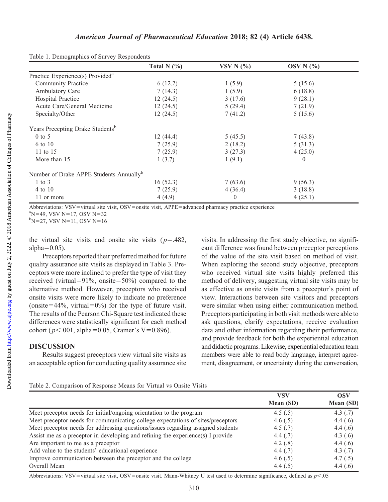|                                                     | Total N $(\% )$ | VSV N $(%)$ | OSV N $(%$ |  |
|-----------------------------------------------------|-----------------|-------------|------------|--|
| Practice Experience(s) Provided <sup>a</sup>        |                 |             |            |  |
| <b>Community Practice</b>                           | 6(12.2)         | 1(5.9)      | 5(15.6)    |  |
| Ambulatory Care                                     | 7(14.3)         | 1(5.9)      | 6(18.8)    |  |
| Hospital Practice                                   | 12(24.5)        | 3(17.6)     | 9(28.1)    |  |
| Acute Care/General Medicine                         | 12(24.5)        | 5(29.4)     | 7(21.9)    |  |
| Specialty/Other                                     | 12(24.5)        | 7(41.2)     | 5(15.6)    |  |
| Years Precepting Drake Students <sup>b</sup>        |                 |             |            |  |
| $0$ to 5                                            | 12(44.4)        | 5(45.5)     | 7(43.8)    |  |
| 6 to 10                                             | 7(25.9)         | 2(18.2)     | 5(31.3)    |  |
| 11 to 15                                            | 7(25.9)         | 3(27.3)     | 4(25.0)    |  |
| More than 15                                        | 1(3.7)          | 1(9.1)      | $\Omega$   |  |
| Number of Drake APPE Students Annually <sup>b</sup> |                 |             |            |  |
| $1$ to $3$                                          | 16(52.3)        | 7(63.6)     | 9(56.3)    |  |
| 4 to 10                                             | 7(25.9)         | 4(36.4)     | 3(18.8)    |  |
| 11 or more                                          | 4(4.9)          | $\theta$    | 4(25.1)    |  |

Table 1. Demographics of Survey Respondents

Abbreviations: VSV=virtual site visit, OSV=onsite visit, APPE=advanced pharmacy practice experience

 $N=49$ , VSV N=17, OSV N=32

 $b$ N=27, VSV N=11, OSV N=16

the virtual site visits and onsite site visits ( $p=.482$ , alpha $=0.05$ ).

Preceptors reported their preferred method for future quality assurance site visits as displayed in Table 3. Preceptors were more inclined to prefer the type of visit they received (virtual=91%, onsite=50%) compared to the alternative method. However, preceptors who received onsite visits were more likely to indicate no preference (onsite=44%, virtual=0%) for the type of future visit. The results of the Pearson Chi-Square test indicated these differences were statistically significant for each method cohort ( $p<.001$ , alpha=0.05, Cramer's V=0.896).

## DISCUSSION

Results suggest preceptors view virtual site visits as an acceptable option for conducting quality assurance site visits. In addressing the first study objective, no significant difference was found between preceptor perceptions of the value of the site visit based on method of visit. When exploring the second study objective, preceptors who received virtual site visits highly preferred this method of delivery, suggesting virtual site visits may be as effective as onsite visits from a preceptor's point of view. Interactions between site visitors and preceptors were similar when using either communication method. Preceptors participating in both visit methods were able to ask questions, clarify expectations, receive evaluation data and other information regarding their performance, and provide feedback for both the experiential education and didactic programs. Likewise, experiential education team members were able to read body language, interpret agreement, disagreement, or uncertainty during the conversation,

|  | Table 2. Comparison of Response Means for Virtual vs Onsite Visits |  |  |
|--|--------------------------------------------------------------------|--|--|
|  |                                                                    |  |  |

|                                                                                  | <b>VSV</b> | <b>OSV</b> |  |
|----------------------------------------------------------------------------------|------------|------------|--|
|                                                                                  | Mean (SD)  | Mean (SD)  |  |
| Meet preceptor needs for initial/ongoing orientation to the program              | 4.5 $(.5)$ | 4.3 $(.7)$ |  |
| Meet preceptor needs for communicating college expectations of sites/preceptors  | 4.6 $(.5)$ | 4.4 $(.6)$ |  |
| Meet preceptor needs for addressing questions/issues regarding assigned students | 4.5(.7)    | 4.4 $(.6)$ |  |
| Assist me as a preceptor in developing and refining the experience(s) I provide  | 4.4(.7)    | 4.3 $(.6)$ |  |
| Are important to me as a preceptor                                               | 4.2 $(.8)$ | 4.4 $(.6)$ |  |
| Add value to the students' educational experience                                | 4.4 $(.7)$ | 4.3 $(.7)$ |  |
| Improve communication between the preceptor and the college                      | 4.6 $(.5)$ | 4.7(0.5)   |  |
| Overall Mean                                                                     | 4.4 $(.5)$ | 4.4 $(.6)$ |  |

Abbreviations: VSV=virtual site visit, OSV=onsite visit. Mann-Whitney U test used to determine significance, defined as  $p$ <.05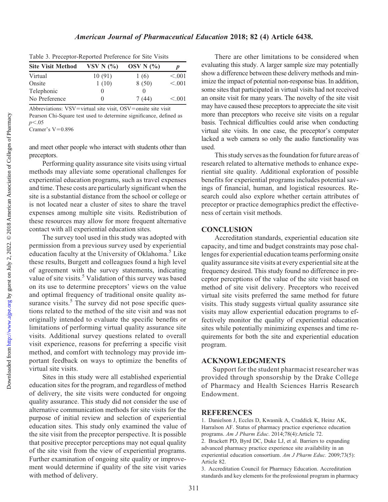Table 3. Preceptor-Reported Preference for Site Visits

| <b>Site Visit Method</b> | VSV N $(%)$ | OSV N $(%)$ | D       |
|--------------------------|-------------|-------------|---------|
| Virtual                  | 10(91)      | 1(6)        | < .001  |
| Onsite                   | 1(10)       | 8(50)       | < 0.001 |
| Telephonic               |             | $\Omega$    |         |
| No Preference            | $\theta$    | 7 (44)      | < 0.001 |

Abbreviations:  $VSV=virtual$  site visit,  $OSV=ons$ ite site visit Pearson Chi-Square test used to determine significance, defined as  $p<.05$ 

Cramer's  $V=0.896$ 

and meet other people who interact with students other than preceptors.

Performing quality assurance site visits using virtual methods may alleviate some operational challenges for experiential education programs, such as travel expenses and time. These costs are particularly significant when the site is a substantial distance from the school or college or is not located near a cluster of sites to share the travel expenses among multiple site visits. Redistribution of these resources may allow for more frequent alternative contact with all experiential education sites.

The survey tool used in this study was adopted with permission from a previous survey used by experiential education faculty at the University of Oklahoma.<sup>5</sup> Like these results, Burgett and colleagues found a high level of agreement with the survey statements, indicating value of site visits.<sup>5</sup> Validation of this survey was based on its use to determine preceptors' views on the value and optimal frequency of traditional onsite quality assurance visits. $<sup>5</sup>$  The survey did not pose specific ques-</sup> tions related to the method of the site visit and was not originally intended to evaluate the specific benefits or limitations of performing virtual quality assurance site visits. Additional survey questions related to overall visit experience, reasons for preferring a specific visit method, and comfort with technology may provide important feedback on ways to optimize the benefits of virtual site visits.

Sites in this study were all established experiential education sites for the program, and regardless of method of delivery, the site visits were conducted for ongoing quality assurance. This study did not consider the use of alternative communication methods for site visits for the purpose of initial review and selection of experiential education sites. This study only examined the value of the site visit from the preceptor perspective. It is possible that positive preceptor perceptions may not equal quality of the site visit from the view of experiential programs. Further examination of ongoing site quality or improvement would determine if quality of the site visit varies with method of delivery.

There are other limitations to be considered when evaluating this study. A larger sample size may potentially show a difference between these delivery methods and minimize the impact of potential non-response bias. In addition, some sites that participated in virtual visits had not received an onsite visit for many years. The novelty of the site visit may have caused these preceptors to appreciate the site visit more than preceptors who receive site visits on a regular basis. Technical difficulties could arise when conducting virtual site visits. In one case, the preceptor's computer lacked a web camera so only the audio functionality was used.

This study serves as the foundation for future areas of research related to alternative methods to enhance experiential site quality. Additional exploration of possible benefits for experiential programs includes potential savings of financial, human, and logistical resources. Research could also explore whether certain attributes of preceptor or practice demographics predict the effectiveness of certain visit methods.

#### **CONCLUSION**

Accreditation standards, experiential education site capacity, and time and budget constraints may pose challenges for experiential education teams performing onsite quality assurance site visits at every experiential site at the frequency desired. This study found no difference in preceptor perceptions of the value of the site visit based on method of site visit delivery. Preceptors who received virtual site visits preferred the same method for future visits. This study suggests virtual quality assurance site visits may allow experiential education programs to effectively monitor the quality of experiential education sites while potentially minimizing expenses and time requirements for both the site and experiential education program.

### ACKNOWLEDGMENTS

Support for the student pharmacist researcher was provided through sponsorship by the Drake College of Pharmacy and Health Sciences Harris Research Endowment.

#### **REFERENCES**

1. Danielson J, Eccles D, Kwasnik A, Craddick K, Heinz AK, Harralson AF. Status of pharmacy practice experience education programs. Am J Pharm Educ. 2014;78(4):Article 72.

2. Brackett PD, Byrd DC, Duke LJ, et al. Barriers to expanding advanced pharmacy practice experience site availability in an experiential education consortium. Am J Pharm Educ. 2009;73(5): Article 82.

3. Accreditation Council for Pharmacy Education. Accreditation standards and key elements for the professional program in pharmacy